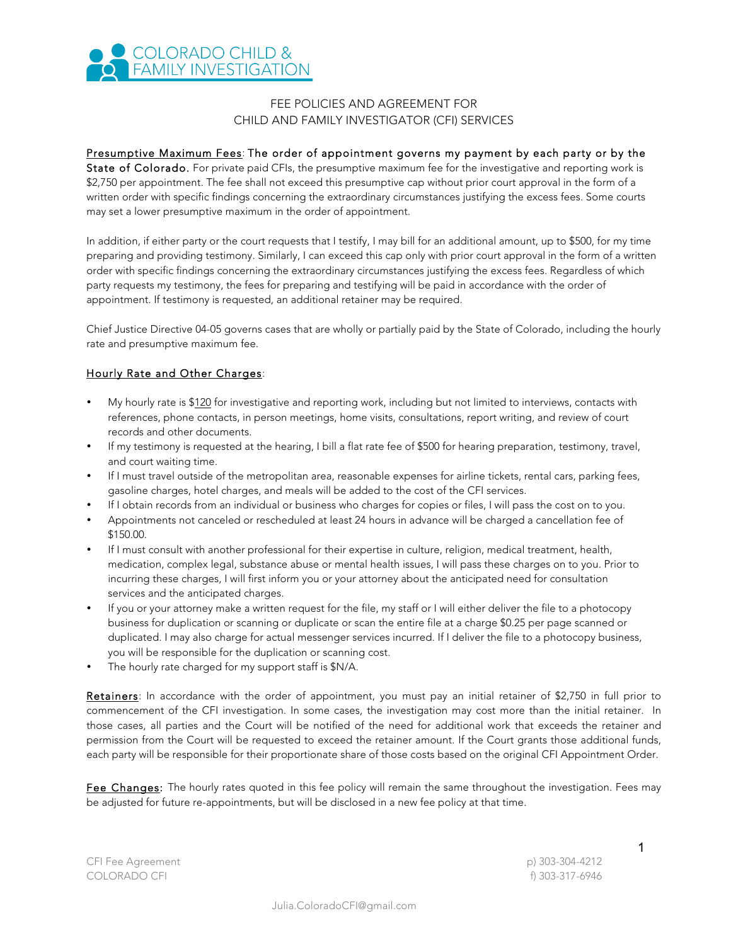

## FEE POLICIES AND AGREEMENT FOR CHILD AND FAMILY INVESTIGATOR (CFI) SERVICES

## Presumptive Maximum Fees: The order of appointment governs my payment by each party or by the

State of Colorado. For private paid CFIs, the presumptive maximum fee for the investigative and reporting work is \$2,750 per appointment. The fee shall not exceed this presumptive cap without prior court approval in the form of a written order with specific findings concerning the extraordinary circumstances justifying the excess fees. Some courts may set a lower presumptive maximum in the order of appointment.

In addition, if either party or the court requests that I testify, I may bill for an additional amount, up to \$500, for my time preparing and providing testimony. Similarly, I can exceed this cap only with prior court approval in the form of a written order with specific findings concerning the extraordinary circumstances justifying the excess fees. Regardless of which party requests my testimony, the fees for preparing and testifying will be paid in accordance with the order of appointment. If testimony is requested, an additional retainer may be required.

Chief Justice Directive 04-05 governs cases that are wholly or partially paid by the State of Colorado, including the hourly rate and presumptive maximum fee.

## Hourly Rate and Other Charges:

- My hourly rate is \$120 for investigative and reporting work, including but not limited to interviews, contacts with references, phone contacts, in person meetings, home visits, consultations, report writing, and review of court records and other documents.
- If my testimony is requested at the hearing, I bill a flat rate fee of \$500 for hearing preparation, testimony, travel, and court waiting time.
- If I must travel outside of the metropolitan area, reasonable expenses for airline tickets, rental cars, parking fees, gasoline charges, hotel charges, and meals will be added to the cost of the CFI services.
- If I obtain records from an individual or business who charges for copies or files, I will pass the cost on to you.
- Appointments not canceled or rescheduled at least 24 hours in advance will be charged a cancellation fee of \$150.00.
- If I must consult with another professional for their expertise in culture, religion, medical treatment, health, medication, complex legal, substance abuse or mental health issues, I will pass these charges on to you. Prior to incurring these charges, I will first inform you or your attorney about the anticipated need for consultation services and the anticipated charges.
- If you or your attorney make a written request for the file, my staff or I will either deliver the file to a photocopy business for duplication or scanning or duplicate or scan the entire file at a charge \$0.25 per page scanned or duplicated. I may also charge for actual messenger services incurred. If I deliver the file to a photocopy business, you will be responsible for the duplication or scanning cost.
- The hourly rate charged for my support staff is \$N/A.

Retainers: In accordance with the order of appointment, you must pay an initial retainer of \$2,750 in full prior to commencement of the CFI investigation. In some cases, the investigation may cost more than the initial retainer. In those cases, all parties and the Court will be notified of the need for additional work that exceeds the retainer and permission from the Court will be requested to exceed the retainer amount. If the Court grants those additional funds, each party will be responsible for their proportionate share of those costs based on the original CFI Appointment Order.

Fee Changes: The hourly rates quoted in this fee policy will remain the same throughout the investigation. Fees may be adjusted for future re-appointments, but will be disclosed in a new fee policy at that time.

CFI Fee Agreement p) 303-304-4212 COLORADO CFI f) 303-317-6946

1